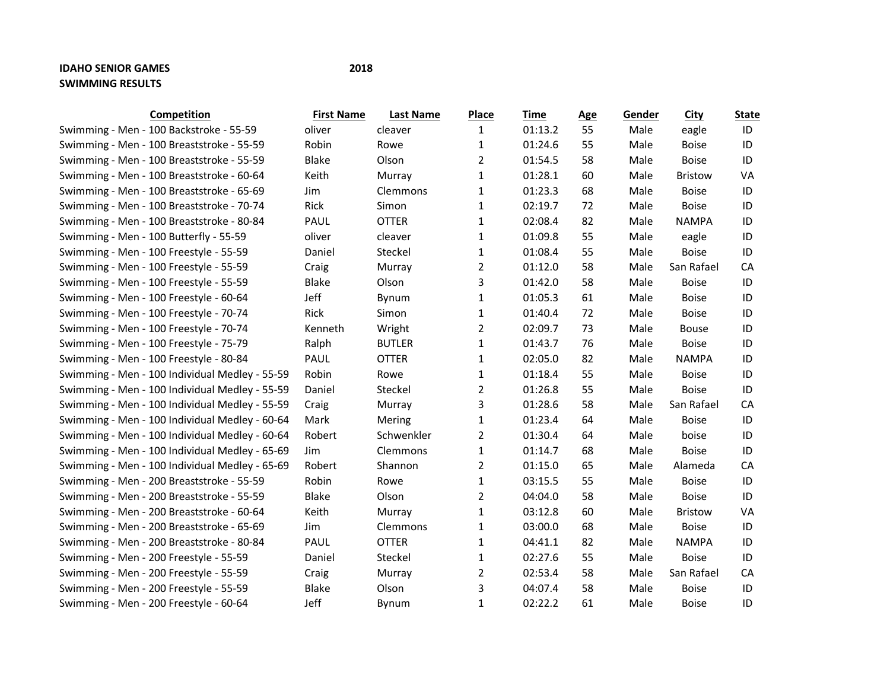## **IDAHO SENIOR GAMES 2018 SWIMMING RESULTS**

| Competition                                    | <b>First Name</b> | <b>Last Name</b> | <b>Place</b>   | Time    | <b>Age</b> | Gender | <b>City</b>    | <b>State</b> |
|------------------------------------------------|-------------------|------------------|----------------|---------|------------|--------|----------------|--------------|
| Swimming - Men - 100 Backstroke - 55-59        | oliver            | cleaver          | 1              | 01:13.2 | 55         | Male   | eagle          | ID           |
| Swimming - Men - 100 Breaststroke - 55-59      | Robin             | Rowe             | 1              | 01:24.6 | 55         | Male   | <b>Boise</b>   | ID           |
| Swimming - Men - 100 Breaststroke - 55-59      | <b>Blake</b>      | Olson            | 2              | 01:54.5 | 58         | Male   | <b>Boise</b>   | ID           |
| Swimming - Men - 100 Breaststroke - 60-64      | Keith             | Murray           | 1              | 01:28.1 | 60         | Male   | <b>Bristow</b> | <b>VA</b>    |
| Swimming - Men - 100 Breaststroke - 65-69      | Jim               | Clemmons         | $\mathbf{1}$   | 01:23.3 | 68         | Male   | <b>Boise</b>   | ID           |
| Swimming - Men - 100 Breaststroke - 70-74      | Rick              | Simon            | $\mathbf{1}$   | 02:19.7 | 72         | Male   | <b>Boise</b>   | ID           |
| Swimming - Men - 100 Breaststroke - 80-84      | PAUL              | <b>OTTER</b>     | $\mathbf{1}$   | 02:08.4 | 82         | Male   | <b>NAMPA</b>   | ID           |
| Swimming - Men - 100 Butterfly - 55-59         | oliver            | cleaver          | $\mathbf{1}$   | 01:09.8 | 55         | Male   | eagle          | ID           |
| Swimming - Men - 100 Freestyle - 55-59         | Daniel            | Steckel          | $\mathbf{1}$   | 01:08.4 | 55         | Male   | <b>Boise</b>   | ID           |
| Swimming - Men - 100 Freestyle - 55-59         | Craig             | Murray           | $\overline{2}$ | 01:12.0 | 58         | Male   | San Rafael     | CA           |
| Swimming - Men - 100 Freestyle - 55-59         | Blake             | Olson            | 3              | 01:42.0 | 58         | Male   | <b>Boise</b>   | ID           |
| Swimming - Men - 100 Freestyle - 60-64         | Jeff              | Bynum            | 1              | 01:05.3 | 61         | Male   | <b>Boise</b>   | ID           |
| Swimming - Men - 100 Freestyle - 70-74         | Rick              | Simon            | $\mathbf{1}$   | 01:40.4 | 72         | Male   | <b>Boise</b>   | ID           |
| Swimming - Men - 100 Freestyle - 70-74         | Kenneth           | Wright           | $\overline{2}$ | 02:09.7 | 73         | Male   | <b>Bouse</b>   | ID           |
| Swimming - Men - 100 Freestyle - 75-79         | Ralph             | <b>BUTLER</b>    | $\mathbf{1}$   | 01:43.7 | 76         | Male   | <b>Boise</b>   | ID           |
| Swimming - Men - 100 Freestyle - 80-84         | PAUL              | <b>OTTER</b>     | $\mathbf{1}$   | 02:05.0 | 82         | Male   | <b>NAMPA</b>   | ID           |
| Swimming - Men - 100 Individual Medley - 55-59 | Robin             | Rowe             | $\mathbf{1}$   | 01:18.4 | 55         | Male   | <b>Boise</b>   | ID           |
| Swimming - Men - 100 Individual Medley - 55-59 | Daniel            | Steckel          | $\overline{2}$ | 01:26.8 | 55         | Male   | <b>Boise</b>   | ID           |
| Swimming - Men - 100 Individual Medley - 55-59 | Craig             | Murray           | 3              | 01:28.6 | 58         | Male   | San Rafael     | CA           |
| Swimming - Men - 100 Individual Medley - 60-64 | Mark              | Mering           | $\mathbf{1}$   | 01:23.4 | 64         | Male   | <b>Boise</b>   | ID           |
| Swimming - Men - 100 Individual Medley - 60-64 | Robert            | Schwenkler       | $\overline{2}$ | 01:30.4 | 64         | Male   | boise          | ID           |
| Swimming - Men - 100 Individual Medley - 65-69 | Jim               | Clemmons         | $\mathbf{1}$   | 01:14.7 | 68         | Male   | <b>Boise</b>   | ID           |
| Swimming - Men - 100 Individual Medley - 65-69 | Robert            | Shannon          | 2              | 01:15.0 | 65         | Male   | Alameda        | CA           |
| Swimming - Men - 200 Breaststroke - 55-59      | Robin             | Rowe             | $\mathbf{1}$   | 03:15.5 | 55         | Male   | <b>Boise</b>   | ID           |
| Swimming - Men - 200 Breaststroke - 55-59      | Blake             | Olson            | $\overline{2}$ | 04:04.0 | 58         | Male   | <b>Boise</b>   | ID           |
| Swimming - Men - 200 Breaststroke - 60-64      | Keith             | Murray           | 1              | 03:12.8 | 60         | Male   | <b>Bristow</b> | VA           |
| Swimming - Men - 200 Breaststroke - 65-69      | Jim               | Clemmons         | 1              | 03:00.0 | 68         | Male   | <b>Boise</b>   | ID           |
| Swimming - Men - 200 Breaststroke - 80-84      | PAUL              | <b>OTTER</b>     | $\mathbf{1}$   | 04:41.1 | 82         | Male   | <b>NAMPA</b>   | ID           |
| Swimming - Men - 200 Freestyle - 55-59         | Daniel            | Steckel          | $\mathbf{1}$   | 02:27.6 | 55         | Male   | <b>Boise</b>   | ID           |
| Swimming - Men - 200 Freestyle - 55-59         | Craig             | Murray           | $\overline{2}$ | 02:53.4 | 58         | Male   | San Rafael     | CA           |
| Swimming - Men - 200 Freestyle - 55-59         | <b>Blake</b>      | Olson            | 3              | 04:07.4 | 58         | Male   | <b>Boise</b>   | ID           |
| Swimming - Men - 200 Freestyle - 60-64         | Jeff              | Bynum            | $\mathbf{1}$   | 02:22.2 | 61         | Male   | <b>Boise</b>   | ID           |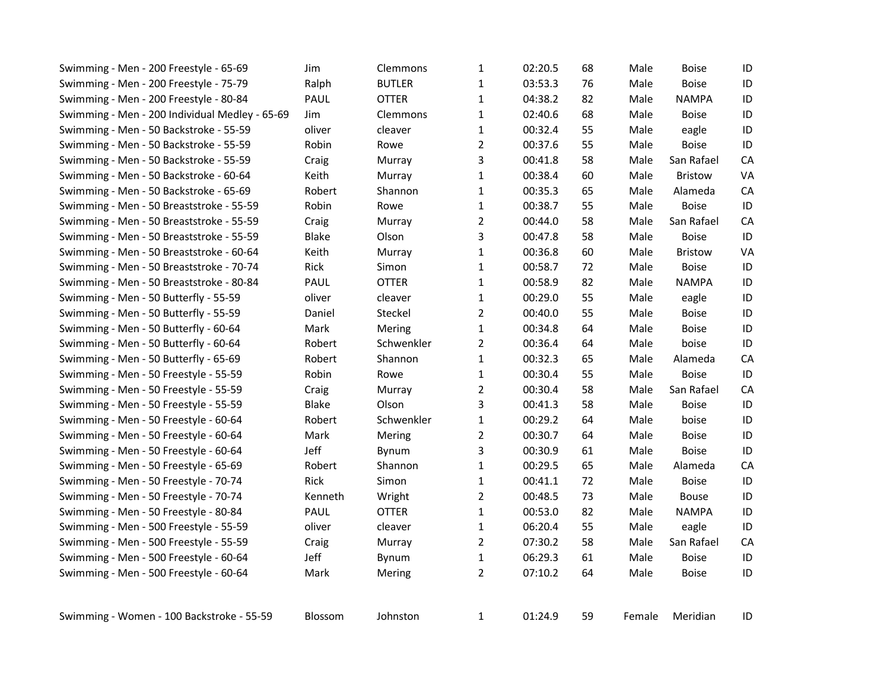|                                                |         |               |                |         | 68 | Male   | <b>Boise</b>   | ID |
|------------------------------------------------|---------|---------------|----------------|---------|----|--------|----------------|----|
| Swimming - Men - 200 Freestyle - 75-79         | Ralph   | <b>BUTLER</b> | $\mathbf{1}$   | 03:53.3 | 76 | Male   | <b>Boise</b>   | ID |
| Swimming - Men - 200 Freestyle - 80-84         | PAUL    | <b>OTTER</b>  | $\mathbf 1$    | 04:38.2 | 82 | Male   | <b>NAMPA</b>   | ID |
| Swimming - Men - 200 Individual Medley - 65-69 | Jim     | Clemmons      | $\mathbf{1}$   | 02:40.6 | 68 | Male   | <b>Boise</b>   | ID |
| Swimming - Men - 50 Backstroke - 55-59         | oliver  | cleaver       | $\mathbf{1}$   | 00:32.4 | 55 | Male   | eagle          | ID |
| Swimming - Men - 50 Backstroke - 55-59         | Robin   | Rowe          | $\overline{2}$ | 00:37.6 | 55 | Male   | <b>Boise</b>   | ID |
| Swimming - Men - 50 Backstroke - 55-59         | Craig   | Murray        | 3              | 00:41.8 | 58 | Male   | San Rafael     | CA |
| Swimming - Men - 50 Backstroke - 60-64         | Keith   | Murray        | $\mathbf{1}$   | 00:38.4 | 60 | Male   | <b>Bristow</b> | VA |
| Swimming - Men - 50 Backstroke - 65-69         | Robert  | Shannon       | $\mathbf{1}$   | 00:35.3 | 65 | Male   | Alameda        | CA |
| Swimming - Men - 50 Breaststroke - 55-59       | Robin   | Rowe          | $\mathbf{1}$   | 00:38.7 | 55 | Male   | <b>Boise</b>   | ID |
| Swimming - Men - 50 Breaststroke - 55-59       | Craig   | Murray        | $\overline{2}$ | 00:44.0 | 58 | Male   | San Rafael     | CA |
| Swimming - Men - 50 Breaststroke - 55-59       | Blake   | Olson         | 3              | 00:47.8 | 58 | Male   | <b>Boise</b>   | ID |
| Swimming - Men - 50 Breaststroke - 60-64       | Keith   | Murray        | $\mathbf{1}$   | 00:36.8 | 60 | Male   | <b>Bristow</b> | VA |
| Swimming - Men - 50 Breaststroke - 70-74       | Rick    | Simon         | $\mathbf{1}$   | 00:58.7 | 72 | Male   | Boise          | ID |
| Swimming - Men - 50 Breaststroke - 80-84       | PAUL    | <b>OTTER</b>  | $\mathbf{1}$   | 00:58.9 | 82 | Male   | <b>NAMPA</b>   | ID |
| Swimming - Men - 50 Butterfly - 55-59          | oliver  | cleaver       | $\mathbf{1}$   | 00:29.0 | 55 | Male   | eagle          | ID |
| Swimming - Men - 50 Butterfly - 55-59          | Daniel  | Steckel       | $\overline{2}$ | 00:40.0 | 55 | Male   | <b>Boise</b>   | ID |
| Swimming - Men - 50 Butterfly - 60-64          | Mark    | Mering        | $\mathbf{1}$   | 00:34.8 | 64 | Male   | <b>Boise</b>   | ID |
| Swimming - Men - 50 Butterfly - 60-64          | Robert  | Schwenkler    | $\overline{2}$ | 00:36.4 | 64 | Male   | boise          | ID |
| Swimming - Men - 50 Butterfly - 65-69          | Robert  | Shannon       | $\mathbf{1}$   | 00:32.3 | 65 | Male   | Alameda        | CA |
| Swimming - Men - 50 Freestyle - 55-59          | Robin   | Rowe          | $\mathbf{1}$   | 00:30.4 | 55 | Male   | <b>Boise</b>   | ID |
| Swimming - Men - 50 Freestyle - 55-59          | Craig   | Murray        | $\overline{2}$ | 00:30.4 | 58 | Male   | San Rafael     | CA |
| Swimming - Men - 50 Freestyle - 55-59          | Blake   | Olson         | 3              | 00:41.3 | 58 | Male   | <b>Boise</b>   | ID |
| Swimming - Men - 50 Freestyle - 60-64          | Robert  | Schwenkler    | $\mathbf{1}$   | 00:29.2 | 64 | Male   | boise          | ID |
| Swimming - Men - 50 Freestyle - 60-64          | Mark    | Mering        | $\overline{2}$ | 00:30.7 | 64 | Male   | <b>Boise</b>   | ID |
| Swimming - Men - 50 Freestyle - 60-64          | Jeff    | Bynum         | 3              | 00:30.9 | 61 | Male   | <b>Boise</b>   | ID |
| Swimming - Men - 50 Freestyle - 65-69          | Robert  | Shannon       | $\mathbf{1}$   | 00:29.5 | 65 | Male   | Alameda        | CA |
| Swimming - Men - 50 Freestyle - 70-74          | Rick    | Simon         | $\mathbf{1}$   | 00:41.1 | 72 | Male   | Boise          | ID |
| Swimming - Men - 50 Freestyle - 70-74          | Kenneth | Wright        | $\overline{2}$ | 00:48.5 | 73 | Male   | Bouse          | ID |
| Swimming - Men - 50 Freestyle - 80-84          | PAUL    | <b>OTTER</b>  | $\mathbf{1}$   | 00:53.0 | 82 | Male   | <b>NAMPA</b>   | ID |
| Swimming - Men - 500 Freestyle - 55-59         | oliver  | cleaver       | $\mathbf{1}$   | 06:20.4 | 55 | Male   | eagle          | ID |
| Swimming - Men - 500 Freestyle - 55-59         | Craig   | Murray        | $\overline{2}$ | 07:30.2 | 58 | Male   | San Rafael     | CA |
| Swimming - Men - 500 Freestyle - 60-64         | Jeff    | Bynum         | $\mathbf{1}$   | 06:29.3 | 61 | Male   | <b>Boise</b>   | ID |
| Swimming - Men - 500 Freestyle - 60-64         | Mark    | Mering        | $\overline{2}$ | 07:10.2 | 64 | Male   | <b>Boise</b>   | ID |
| Swimming - Women - 100 Backstroke - 55-59      | Blossom | Johnston      | $\mathbf{1}$   | 01:24.9 | 59 | Female | Meridian       | ID |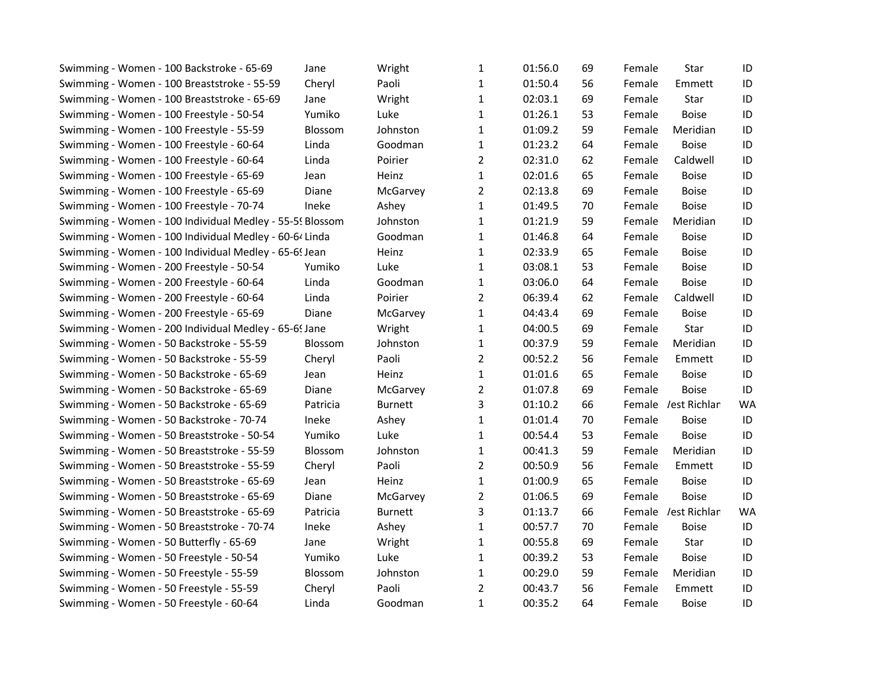| Swimming - Women - 100 Backstroke - 65-69                | Jane           | Wright         | 1              | 01:56.0 | 69 | Female | Star                | ID        |
|----------------------------------------------------------|----------------|----------------|----------------|---------|----|--------|---------------------|-----------|
| Swimming - Women - 100 Breaststroke - 55-59              | Cheryl         | Paoli          | 1              | 01:50.4 | 56 | Female | Emmett              | ID        |
| Swimming - Women - 100 Breaststroke - 65-69              | Jane           | Wright         | 1              | 02:03.1 | 69 | Female | Star                | ID        |
| Swimming - Women - 100 Freestyle - 50-54                 | Yumiko         | Luke           | 1              | 01:26.1 | 53 | Female | <b>Boise</b>        | ID        |
| Swimming - Women - 100 Freestyle - 55-59                 | Blossom        | Johnston       | 1              | 01:09.2 | 59 | Female | Meridian            | ID        |
| Swimming - Women - 100 Freestyle - 60-64                 | Linda          | Goodman        | 1              | 01:23.2 | 64 | Female | <b>Boise</b>        | ID        |
| Swimming - Women - 100 Freestyle - 60-64                 | Linda          | Poirier        | $\overline{2}$ | 02:31.0 | 62 | Female | Caldwell            | ID        |
| Swimming - Women - 100 Freestyle - 65-69                 | Jean           | Heinz          | 1              | 02:01.6 | 65 | Female | <b>Boise</b>        | ID        |
| Swimming - Women - 100 Freestyle - 65-69                 | Diane          | McGarvey       | $\overline{2}$ | 02:13.8 | 69 | Female | <b>Boise</b>        | ID        |
| Swimming - Women - 100 Freestyle - 70-74                 | Ineke          | Ashey          | 1              | 01:49.5 | 70 | Female | <b>Boise</b>        | ID        |
| Swimming - Women - 100 Individual Medley - 55-59 Blossom |                | Johnston       | 1              | 01:21.9 | 59 | Female | Meridian            | ID        |
| Swimming - Women - 100 Individual Medley - 60-64 Linda   |                | Goodman        | 1              | 01:46.8 | 64 | Female | <b>Boise</b>        | ID        |
| Swimming - Women - 100 Individual Medley - 65-6! Jean    |                | Heinz          | $\mathbf{1}$   | 02:33.9 | 65 | Female | <b>Boise</b>        | ID        |
| Swimming - Women - 200 Freestyle - 50-54                 | Yumiko         | Luke           | $\mathbf{1}$   | 03:08.1 | 53 | Female | <b>Boise</b>        | ID        |
| Swimming - Women - 200 Freestyle - 60-64                 | Linda          | Goodman        | $\mathbf{1}$   | 03:06.0 | 64 | Female | <b>Boise</b>        | ID        |
| Swimming - Women - 200 Freestyle - 60-64                 | Linda          | Poirier        | $\overline{2}$ | 06:39.4 | 62 | Female | Caldwell            | ID        |
| Swimming - Women - 200 Freestyle - 65-69                 | Diane          | McGarvey       | 1              | 04:43.4 | 69 | Female | <b>Boise</b>        | ID        |
| Swimming - Women - 200 Individual Medley - 65-69 Jane    |                | Wright         | 1              | 04:00.5 | 69 | Female | Star                | ID        |
| Swimming - Women - 50 Backstroke - 55-59                 | Blossom        | Johnston       | $\mathbf{1}$   | 00:37.9 | 59 | Female | Meridian            | ID        |
| Swimming - Women - 50 Backstroke - 55-59                 | Cheryl         | Paoli          | 2              | 00:52.2 | 56 | Female | Emmett              | ID        |
| Swimming - Women - 50 Backstroke - 65-69                 | Jean           | Heinz          | 1              | 01:01.6 | 65 | Female | <b>Boise</b>        | ID        |
| Swimming - Women - 50 Backstroke - 65-69                 | Diane          | McGarvey       | $\overline{2}$ | 01:07.8 | 69 | Female | <b>Boise</b>        | ID        |
| Swimming - Women - 50 Backstroke - 65-69                 | Patricia       | <b>Burnett</b> | 3              | 01:10.2 | 66 |        | Female /est Richlan | <b>WA</b> |
| Swimming - Women - 50 Backstroke - 70-74                 | Ineke          | Ashey          | 1              | 01:01.4 | 70 | Female | <b>Boise</b>        | ID        |
| Swimming - Women - 50 Breaststroke - 50-54               | Yumiko         | Luke           | $\mathbf{1}$   | 00:54.4 | 53 | Female | <b>Boise</b>        | ID        |
| Swimming - Women - 50 Breaststroke - 55-59               | <b>Blossom</b> | Johnston       | 1              | 00:41.3 | 59 | Female | Meridian            | ID        |
| Swimming - Women - 50 Breaststroke - 55-59               | Cheryl         | Paoli          | $\overline{2}$ | 00:50.9 | 56 | Female | Emmett              | ID        |
| Swimming - Women - 50 Breaststroke - 65-69               | Jean           | Heinz          | 1              | 01:00.9 | 65 | Female | <b>Boise</b>        | ID        |
| Swimming - Women - 50 Breaststroke - 65-69               | Diane          | McGarvey       | 2              | 01:06.5 | 69 | Female | <b>Boise</b>        | ID        |
| Swimming - Women - 50 Breaststroke - 65-69               | Patricia       | <b>Burnett</b> | 3              | 01:13.7 | 66 |        | Female /est Richlan | <b>WA</b> |
| Swimming - Women - 50 Breaststroke - 70-74               | Ineke          | Ashey          | $\mathbf{1}$   | 00:57.7 | 70 | Female | <b>Boise</b>        | ID        |
| Swimming - Women - 50 Butterfly - 65-69                  | Jane           | Wright         | 1              | 00:55.8 | 69 | Female | Star                | ID        |
| Swimming - Women - 50 Freestyle - 50-54                  | Yumiko         | Luke           | $\mathbf{1}$   | 00:39.2 | 53 | Female | <b>Boise</b>        | ID        |
| Swimming - Women - 50 Freestyle - 55-59                  | Blossom        | Johnston       | 1              | 00:29.0 | 59 | Female | Meridian            | ID        |
| Swimming - Women - 50 Freestyle - 55-59                  | Cheryl         | Paoli          | $\overline{2}$ | 00:43.7 | 56 | Female | Emmett              | ID        |
| Swimming - Women - 50 Freestyle - 60-64                  | Linda          | Goodman        | $\mathbf{1}$   | 00:35.2 | 64 | Female | <b>Boise</b>        | ID        |